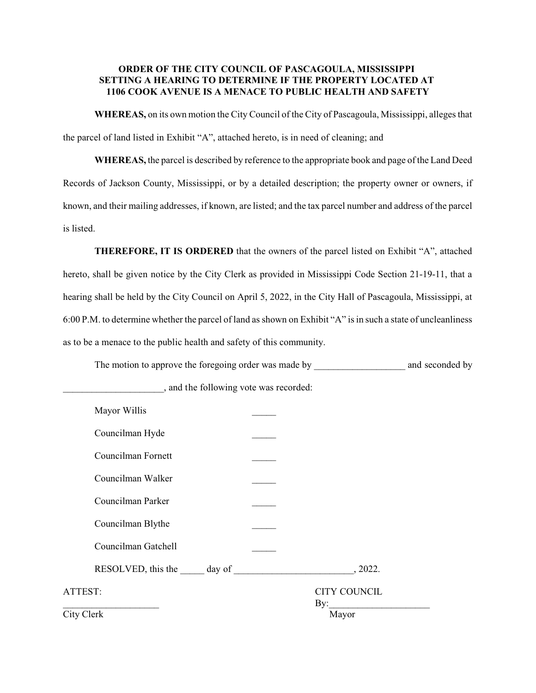## **ORDER OF THE CITY COUNCIL OF PASCAGOULA, MISSISSIPPI SETTING A HEARING TO DETERMINE IF THE PROPERTY LOCATED AT 1106 COOK AVENUE IS A MENACE TO PUBLIC HEALTH AND SAFETY**

**WHEREAS,** on its own motion the City Council of the City of Pascagoula, Mississippi, alleges that the parcel of land listed in Exhibit "A", attached hereto, is in need of cleaning; and

**WHEREAS,** the parcel is described by reference to the appropriate book and page of the Land Deed Records of Jackson County, Mississippi, or by a detailed description; the property owner or owners, if known, and their mailing addresses, if known, are listed; and the tax parcel number and address of the parcel is listed.

**THEREFORE, IT IS ORDERED** that the owners of the parcel listed on Exhibit "A", attached hereto, shall be given notice by the City Clerk as provided in Mississippi Code Section 21-19-11, that a hearing shall be held by the City Council on April 5, 2022, in the City Hall of Pascagoula, Mississippi, at 6:00 P.M. to determine whether the parcel of land as shown on Exhibit "A" is in such a state of uncleanliness as to be a menace to the public health and safety of this community.

The motion to approve the foregoing order was made by \_\_\_\_\_\_\_\_\_\_\_\_\_\_\_\_\_\_\_\_\_\_\_\_\_\_ and seconded by

| Mayor Willis        |                            |
|---------------------|----------------------------|
| Councilman Hyde     |                            |
| Councilman Fornett  |                            |
| Councilman Walker   |                            |
| Councilman Parker   |                            |
| Councilman Blythe   |                            |
| Councilman Gatchell |                            |
|                     |                            |
| ATTEST:             | <b>CITY COUNCIL</b><br>By: |
| City Clerk          | Mayor                      |
|                     |                            |

\_\_\_\_\_\_\_\_\_\_\_\_\_\_\_\_\_\_\_\_\_, and the following vote was recorded: